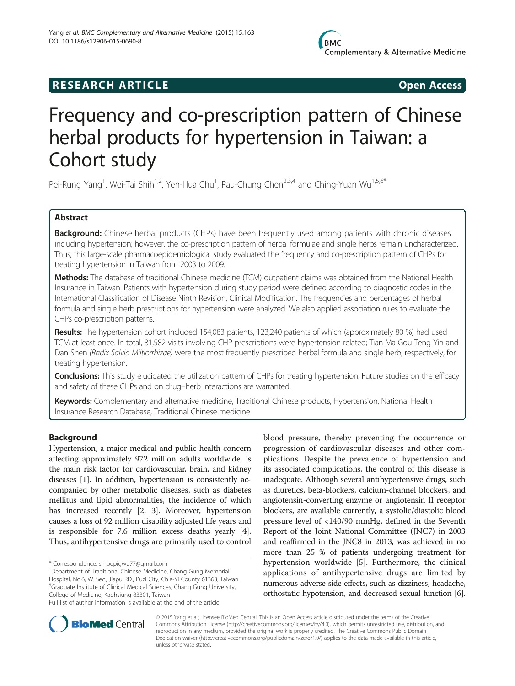# **RESEARCH ARTICLE Example 2018 12:00 Open Access**

# Frequency and co-prescription pattern of Chinese herbal products for hypertension in Taiwan: a Cohort study

Pei-Rung Yang<sup>1</sup>, Wei-Tai Shih<sup>1,2</sup>, Yen-Hua Chu<sup>1</sup>, Pau-Chung Chen<sup>2,3,4</sup> and Ching-Yuan Wu<sup>1,5,6\*</sup>

# Abstract

Background: Chinese herbal products (CHPs) have been frequently used among patients with chronic diseases including hypertension; however, the co-prescription pattern of herbal formulae and single herbs remain uncharacterized. Thus, this large-scale pharmacoepidemiological study evaluated the frequency and co-prescription pattern of CHPs for treating hypertension in Taiwan from 2003 to 2009.

Methods: The database of traditional Chinese medicine (TCM) outpatient claims was obtained from the National Health Insurance in Taiwan. Patients with hypertension during study period were defined according to diagnostic codes in the International Classification of Disease Ninth Revision, Clinical Modification. The frequencies and percentages of herbal formula and single herb prescriptions for hypertension were analyzed. We also applied association rules to evaluate the CHPs co-prescription patterns.

Results: The hypertension cohort included 154,083 patients, 123,240 patients of which (approximately 80 %) had used TCM at least once. In total, 81,582 visits involving CHP prescriptions were hypertension related; Tian-Ma-Gou-Teng-Yin and Dan Shen (Radix Salvia Miltiorrhizae) were the most frequently prescribed herbal formula and single herb, respectively, for treating hypertension.

Conclusions: This study elucidated the utilization pattern of CHPs for treating hypertension. Future studies on the efficacy and safety of these CHPs and on drug–herb interactions are warranted.

Keywords: Complementary and alternative medicine, Traditional Chinese products, Hypertension, National Health Insurance Research Database, Traditional Chinese medicine

# Background

Hypertension, a major medical and public health concern affecting approximately 972 million adults worldwide, is the main risk factor for cardiovascular, brain, and kidney diseases [[1](#page-6-0)]. In addition, hypertension is consistently accompanied by other metabolic diseases, such as diabetes mellitus and lipid abnormalities, the incidence of which has increased recently [[2, 3](#page-6-0)]. Moreover, hypertension causes a loss of 92 million disability adjusted life years and is responsible for 7.6 million excess deaths yearly [[4](#page-6-0)]. Thus, antihypertensive drugs are primarily used to control

<sup>1</sup>Department of Traditional Chinese Medicine, Chang Gung Memorial Hospital, No.6, W. Sec., Jiapu RD., Puzi City, Chia-Yi County 61363, Taiwan 5 Graduate Institute of Clinical Medical Sciences, Chang Gung University, College of Medicine, Kaohsiung 83301, Taiwan

blood pressure, thereby preventing the occurrence or progression of cardiovascular diseases and other complications. Despite the prevalence of hypertension and its associated complications, the control of this disease is inadequate. Although several antihypertensive drugs, such as diuretics, beta-blockers, calcium-channel blockers, and angiotensin-converting enzyme or angiotensin II receptor blockers, are available currently, a systolic/diastolic blood pressure level of <140/90 mmHg, defined in the Seventh Report of the Joint National Committee (JNC7) in 2003 and reaffirmed in the JNC8 in 2013, was achieved in no more than 25 % of patients undergoing treatment for hypertension worldwide [\[5](#page-6-0)]. Furthermore, the clinical applications of antihypertensive drugs are limited by numerous adverse side effects, such as dizziness, headache, orthostatic hypotension, and decreased sexual function [[6](#page-6-0)].



© 2015 Yang et al.; licensee BioMed Central. This is an Open Access article distributed under the terms of the Creative Commons Attribution License [\(http://creativecommons.org/licenses/by/4.0\)](http://creativecommons.org/licenses/by/4.0), which permits unrestricted use, distribution, and reproduction in any medium, provided the original work is properly credited. The Creative Commons Public Domain Dedication waiver [\(http://creativecommons.org/publicdomain/zero/1.0/](http://creativecommons.org/publicdomain/zero/1.0/)) applies to the data made available in this article, unless otherwise stated.

<sup>\*</sup> Correspondence: [smbepigwu77@gmail.com](mailto:smbepigwu77@gmail.com) <sup>1</sup>

Full list of author information is available at the end of the article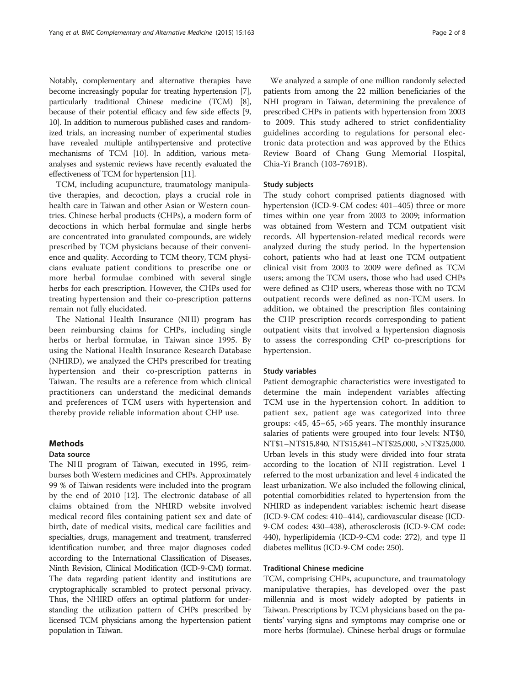Notably, complementary and alternative therapies have become increasingly popular for treating hypertension [[7](#page-6-0)], particularly traditional Chinese medicine (TCM) [[8](#page-7-0)], because of their potential efficacy and few side effects [[9](#page-7-0), [10](#page-7-0)]. In addition to numerous published cases and randomized trials, an increasing number of experimental studies have revealed multiple antihypertensive and protective mechanisms of TCM [\[10](#page-7-0)]. In addition, various metaanalyses and systemic reviews have recently evaluated the effectiveness of TCM for hypertension [\[11\]](#page-7-0).

TCM, including acupuncture, traumatology manipulative therapies, and decoction, plays a crucial role in health care in Taiwan and other Asian or Western countries. Chinese herbal products (CHPs), a modern form of decoctions in which herbal formulae and single herbs are concentrated into granulated compounds, are widely prescribed by TCM physicians because of their convenience and quality. According to TCM theory, TCM physicians evaluate patient conditions to prescribe one or more herbal formulae combined with several single herbs for each prescription. However, the CHPs used for treating hypertension and their co-prescription patterns remain not fully elucidated.

The National Health Insurance (NHI) program has been reimbursing claims for CHPs, including single herbs or herbal formulae, in Taiwan since 1995. By using the National Health Insurance Research Database (NHIRD), we analyzed the CHPs prescribed for treating hypertension and their co-prescription patterns in Taiwan. The results are a reference from which clinical practitioners can understand the medicinal demands and preferences of TCM users with hypertension and thereby provide reliable information about CHP use.

# Methods

### Data source

The NHI program of Taiwan, executed in 1995, reimburses both Western medicines and CHPs. Approximately 99 % of Taiwan residents were included into the program by the end of 2010 [\[12](#page-7-0)]. The electronic database of all claims obtained from the NHIRD website involved medical record files containing patient sex and date of birth, date of medical visits, medical care facilities and specialties, drugs, management and treatment, transferred identification number, and three major diagnoses coded according to the International Classification of Diseases, Ninth Revision, Clinical Modification (ICD-9-CM) format. The data regarding patient identity and institutions are cryptographically scrambled to protect personal privacy. Thus, the NHIRD offers an optimal platform for understanding the utilization pattern of CHPs prescribed by licensed TCM physicians among the hypertension patient population in Taiwan.

We analyzed a sample of one million randomly selected patients from among the 22 million beneficiaries of the NHI program in Taiwan, determining the prevalence of prescribed CHPs in patients with hypertension from 2003 to 2009. This study adhered to strict confidentiality guidelines according to regulations for personal electronic data protection and was approved by the Ethics Review Board of Chang Gung Memorial Hospital, Chia-Yi Branch (103-7691B).

### Study subjects

The study cohort comprised patients diagnosed with hypertension (ICD-9-CM codes: 401–405) three or more times within one year from 2003 to 2009; information was obtained from Western and TCM outpatient visit records. All hypertension-related medical records were analyzed during the study period. In the hypertension cohort, patients who had at least one TCM outpatient clinical visit from 2003 to 2009 were defined as TCM users; among the TCM users, those who had used CHPs were defined as CHP users, whereas those with no TCM outpatient records were defined as non-TCM users. In addition, we obtained the prescription files containing the CHP prescription records corresponding to patient outpatient visits that involved a hypertension diagnosis to assess the corresponding CHP co-prescriptions for hypertension.

## Study variables

Patient demographic characteristics were investigated to determine the main independent variables affecting TCM use in the hypertension cohort. In addition to patient sex, patient age was categorized into three groups: <45, 45–65, >65 years. The monthly insurance salaries of patients were grouped into four levels: NT\$0, NT\$1–NT\$15,840, NT\$15,841–NT\$25,000, >NT\$25,000. Urban levels in this study were divided into four strata according to the location of NHI registration. Level 1 referred to the most urbanization and level 4 indicated the least urbanization. We also included the following clinical, potential comorbidities related to hypertension from the NHIRD as independent variables: ischemic heart disease (ICD-9-CM codes: 410–414), cardiovascular disease (ICD-9-CM codes: 430–438), atherosclerosis (ICD-9-CM code: 440), hyperlipidemia (ICD-9-CM code: 272), and type II diabetes mellitus (ICD-9-CM code: 250).

#### Traditional Chinese medicine

TCM, comprising CHPs, acupuncture, and traumatology manipulative therapies, has developed over the past millennia and is most widely adopted by patients in Taiwan. Prescriptions by TCM physicians based on the patients' varying signs and symptoms may comprise one or more herbs (formulae). Chinese herbal drugs or formulae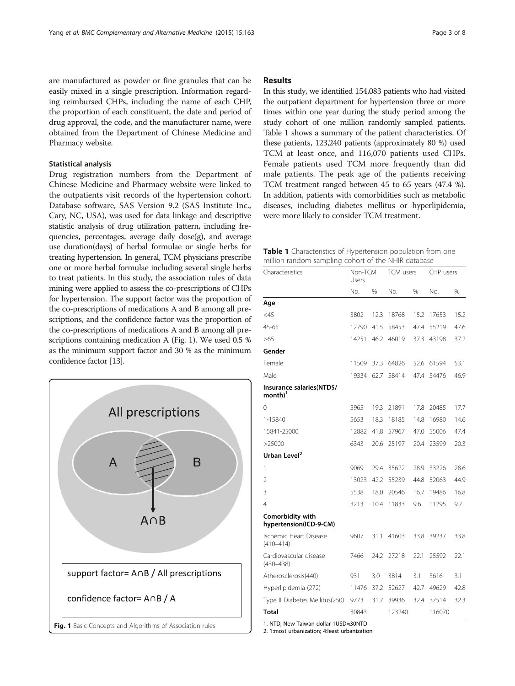are manufactured as powder or fine granules that can be easily mixed in a single prescription. Information regarding reimbursed CHPs, including the name of each CHP, the proportion of each constituent, the date and period of drug approval, the code, and the manufacturer name, were obtained from the Department of Chinese Medicine and Pharmacy website.

### Statistical analysis

Drug registration numbers from the Department of Chinese Medicine and Pharmacy website were linked to the outpatients visit records of the hypertension cohort. Database software, SAS Version 9.2 (SAS Institute Inc., Cary, NC, USA), was used for data linkage and descriptive statistic analysis of drug utilization pattern, including frequencies, percentages, average daily  $dose(g)$ , and average use duration(days) of herbal formulae or single herbs for treating hypertension. In general, TCM physicians prescribe one or more herbal formulae including several single herbs to treat patients. In this study, the association rules of data mining were applied to assess the co-prescriptions of CHPs for hypertension. The support factor was the proportion of the co-prescriptions of medications A and B among all prescriptions, and the confidence factor was the proportion of the co-prescriptions of medications A and B among all prescriptions containing medication A (Fig. 1). We used 0.5 % as the minimum support factor and 30 % as the minimum confidence factor [[13](#page-7-0)].



# Results

In this study, we identified 154,083 patients who had visited the outpatient department for hypertension three or more times within one year during the study period among the study cohort of one million randomly sampled patients. Table 1 shows a summary of the patient characteristics. Of these patients, 123,240 patients (approximately 80 %) used TCM at least once, and 116,070 patients used CHPs. Female patients used TCM more frequently than did male patients. The peak age of the patients receiving TCM treatment ranged between 45 to 65 years (47.4 %). In addition, patients with comorbidities such as metabolic diseases, including diabetes mellitus or hyperlipidemia, were more likely to consider TCM treatment.

|  | <b>Table 1</b> Characteristics of Hypertension population from one |  |  |  |
|--|--------------------------------------------------------------------|--|--|--|
|  | million random sampling cohort of the NHIR database                |  |  |  |

| Characteristics                            | Non-TCM<br>Users |      | <b>TCM</b> users |      | CHP users |      |
|--------------------------------------------|------------------|------|------------------|------|-----------|------|
|                                            | No.              | %    | No.              | %    | No.       | $\%$ |
| Age                                        |                  |      |                  |      |           |      |
| $<$ 45                                     | 3802             | 12.3 | 18768            | 15.2 | 17653     | 15.2 |
| 45-65                                      | 12790            | 41.5 | 58453            | 47.4 | 55219     | 47.6 |
| >65                                        | 14251            | 46.2 | 46019            | 37.3 | 43198     | 37.2 |
| Gender                                     |                  |      |                  |      |           |      |
| Female                                     | 11509            | 37.3 | 64826            | 52.6 | 61594     | 53.1 |
| Male                                       | 19334            | 62.7 | 58414            | 47.4 | 54476     | 46.9 |
| Insurance salaries(NTD\$/<br>$month)^1$    |                  |      |                  |      |           |      |
| 0                                          | 5965             | 19.3 | 21891            | 17.8 | 20485     | 17.7 |
| 1-15840                                    | 5653             | 18.3 | 18185            | 14.8 | 16980     | 14.6 |
| 15841-25000                                | 12882            | 41.8 | 57967            | 47.0 | 55006     | 47.4 |
| >25000                                     | 6343             | 20.6 | 25197            | 20.4 | 23599     | 20.3 |
| Urban Level <sup>2</sup>                   |                  |      |                  |      |           |      |
| 1                                          | 9069             | 29.4 | 35622            | 28.9 | 33226     | 28.6 |
| $\overline{2}$                             | 13023            | 42.2 | 55239            | 44.8 | 52063     | 44.9 |
| 3                                          | 5538             | 18.0 | 20546            | 16.7 | 19486     | 16.8 |
| 4                                          | 3213             | 10.4 | 11833            | 9.6  | 11295     | 9.7  |
| Comorbidity with<br>hypertension(ICD-9-CM) |                  |      |                  |      |           |      |
| Ischemic Heart Disease<br>$(410 - 414)$    | 9607             | 31.1 | 41603            | 33.8 | 39237     | 33.8 |
| Cardiovascular disease<br>$(430 - 438)$    | 7466             | 24.2 | 27218            | 22.1 | 25592     | 22.1 |
| Atherosclerosis(440)                       | 931              | 3.0  | 3814             | 3.1  | 3616      | 3.1  |
| Hyperlipidemia (272)                       | 11476            | 37.2 | 52627            | 42.7 | 49629     | 42.8 |
| Type II Diabetes Mellitus(250)             | 9773             | 31.7 | 39936            | 32.4 | 37514     | 32.3 |
| Total                                      | 30843            |      | 123240           |      | 116070    |      |

1. NTD, New Taiwan dollar 1USD≒30NTD

2. 1:most urbanization; 4:least urbanization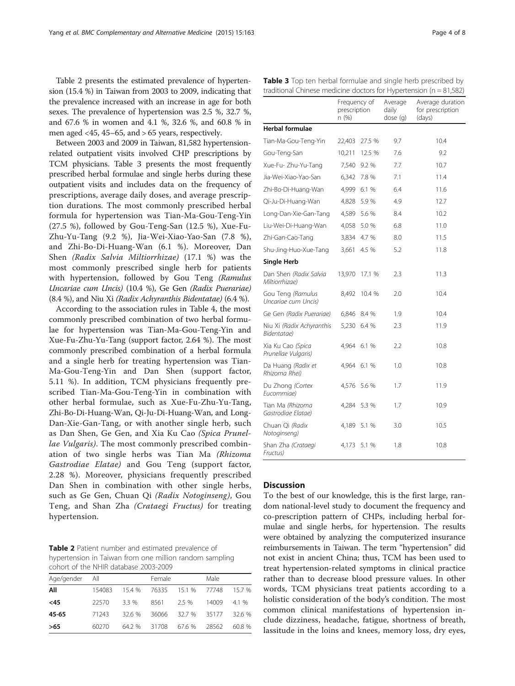<span id="page-3-0"></span>Table 2 presents the estimated prevalence of hypertension (15.4 %) in Taiwan from 2003 to 2009, indicating that the prevalence increased with an increase in age for both sexes. The prevalence of hypertension was 2.5 %, 32.7 %, and 67.6 % in women and 4.1 %, 32.6 %, and 60.8 % in men aged <45, 45–65, and > 65 years, respectively.

Between 2003 and 2009 in Taiwan, 81,582 hypertensionrelated outpatient visits involved CHP prescriptions by TCM physicians. Table 3 presents the most frequently prescribed herbal formulae and single herbs during these outpatient visits and includes data on the frequency of prescriptions, average daily doses, and average prescription durations. The most commonly prescribed herbal formula for hypertension was Tian-Ma-Gou-Teng-Yin (27.5 %), followed by Gou-Teng-San (12.5 %), Xue-Fu-Zhu-Yu-Tang (9.2 %), Jia-Wei-Xiao-Yao-San (7.8 %), and Zhi-Bo-Di-Huang-Wan (6.1 %). Moreover, Dan Shen (Radix Salvia Miltiorrhizae) (17.1 %) was the most commonly prescribed single herb for patients with hypertension, followed by Gou Teng (Ramulus Uncariae cum Uncis) (10.4 %), Ge Gen (Radix Puerariae) (8.4 %), and Niu Xi (Radix Achyranthis Bidentatae) (6.4 %).

According to the association rules in Table [4](#page-4-0), the most commonly prescribed combination of two herbal formulae for hypertension was Tian-Ma-Gou-Teng-Yin and Xue-Fu-Zhu-Yu-Tang (support factor, 2.64 %). The most commonly prescribed combination of a herbal formula and a single herb for treating hypertension was Tian-Ma-Gou-Teng-Yin and Dan Shen (support factor, 5.11 %). In addition, TCM physicians frequently prescribed Tian-Ma-Gou-Teng-Yin in combination with other herbal formulae, such as Xue-Fu-Zhu-Yu-Tang, Zhi-Bo-Di-Huang-Wan, Qi-Ju-Di-Huang-Wan, and Long-Dan-Xie-Gan-Tang, or with another single herb, such as Dan Shen, Ge Gen, and Xia Ku Cao (Spica Prunellae Vulgaris). The most commonly prescribed combination of two single herbs was Tian Ma (Rhizoma Gastrodiae Elatae) and Gou Teng (support factor, 2.28 %). Moreover, physicians frequently prescribed Dan Shen in combination with other single herbs, such as Ge Gen, Chuan Qi (Radix Notoginseng), Gou Teng, and Shan Zha (Crataegi Fructus) for treating hypertension.

Table 2 Patient number and estimated prevalence of hypertension in Taiwan from one million random sampling cohort of the NHIR database 2003-2009

| Age/gender All |        |        | Female |              | Male  |        |  |
|----------------|--------|--------|--------|--------------|-------|--------|--|
| All            | 154083 | 15.4 % | 76335  | 15.1 % 77748 |       | 157%   |  |
| $45$           | 22570  | 33%    | 8561   | 2.5 %        | 14009 | 4 1 %  |  |
| 45-65          | 71243  | 32.6%  | 36066  | 327%         | 35177 | 32.6 % |  |
| >65            | 60270  | 64.2 % | 31708  | 67.6 %       | 28562 | 60.8 % |  |

| Table 3 Top ten herbal formulae and single herb prescribed by      |  |  |  |  |
|--------------------------------------------------------------------|--|--|--|--|
| traditional Chinese medicine doctors for Hypertension (n = 81,582) |  |  |  |  |

|                                          |                                       |        | 2 L                          |                                                |  |
|------------------------------------------|---------------------------------------|--------|------------------------------|------------------------------------------------|--|
|                                          | Frequency of<br>prescription<br>n (%) |        | Average<br>daily<br>dose (g) | Average duration<br>for prescription<br>(days) |  |
| Herbal formulae                          |                                       |        |                              |                                                |  |
| Tian-Ma-Gou-Teng-Yin                     | 22,403                                | 27.5 % | 9.7                          | 10.4                                           |  |
| Gou-Teng-San                             | 10,211                                | 12.5 % | 7.6                          | 9.2                                            |  |
| Xue-Fu- Zhu-Yu-Tang                      | 7,540                                 | 9.2 %  | 7.7                          | 10.7                                           |  |
| Jia-Wei-Xiao-Yao-San                     | 6,342                                 | 7.8 %  | 7.1                          | 11.4                                           |  |
| Zhi-Bo-Di-Huang-Wan                      | 4,999                                 | 6.1 %  | 6.4                          | 11.6                                           |  |
| Qi-Ju-Di-Huang-Wan                       | 4,828                                 | 5.9 %  | 4.9                          | 12.7                                           |  |
| Long-Dan-Xie-Gan-Tang                    | 4,589                                 | 5.6 %  | 8.4                          | 10.2                                           |  |
| Liu-Wei-Di-Huang-Wan                     | 4,058                                 | 5.0 %  | 6.8                          | 11.0                                           |  |
| Zhi-Gan-Cao-Tang                         | 3,834                                 | 4.7 %  | 8.0                          | 11.5                                           |  |
| Shu-Jing-Huo-Xue-Tang                    | 3,661                                 | 4.5 %  | 5.2                          | 11.8                                           |  |
| <b>Single Herb</b>                       |                                       |        |                              |                                                |  |
| Dan Shen (Radix Salvia<br>Miltiorrhizae) | 13,970                                | 17.1 % | 2.3                          | 11.3                                           |  |
| Gou Teng (Ramulus<br>Uncariae cum Uncis) | 8,492                                 | 10.4 % | 2.0                          | 10.4                                           |  |
| Ge Gen (Radix Puerariae)                 | 6,846                                 | 8.4 %  | 1.9                          | 10.4                                           |  |
| Niu Xi (Radix Achyranthis<br>Bidentatae) | 5,230                                 | 6.4 %  | 2.3                          | 11.9                                           |  |
| Xia Ku Cao (Spica<br>Prunellae Vulgaris) | 4,964                                 | 6.1 %  | 2.2                          | 10.8                                           |  |
| Da Huang (Radix et<br>Rhizoma Rhei)      | 4,964                                 | 6.1 %  | 1.0                          | 10.8                                           |  |
| Du Zhong (Cortex<br>Eucommiae)           | 4,576                                 | 5.6 %  | 1.7                          | 11.9                                           |  |
| Tian Ma (Rhizoma<br>Gastrodiae Elatae)   | 4,284                                 | 5.3 %  | 1.7                          | 10.9                                           |  |
| Chuan Qi (Radix<br>Notoginseng)          | 4,189                                 | 5.1 %  | 3.0                          | 10.5                                           |  |
| Shan Zha (Crataegi<br>Fructus)           | 4,173                                 | 5.1 %  | 1.8                          | 10.8                                           |  |

# **Discussion**

To the best of our knowledge, this is the first large, random national-level study to document the frequency and co-prescription pattern of CHPs, including herbal formulae and single herbs, for hypertension. The results were obtained by analyzing the computerized insurance reimbursements in Taiwan. The term "hypertension" did not exist in ancient China; thus, TCM has been used to treat hypertension-related symptoms in clinical practice rather than to decrease blood pressure values. In other words, TCM physicians treat patients according to a holistic consideration of the body's condition. The most common clinical manifestations of hypertension include dizziness, headache, fatigue, shortness of breath, lassitude in the loins and knees, memory loss, dry eyes,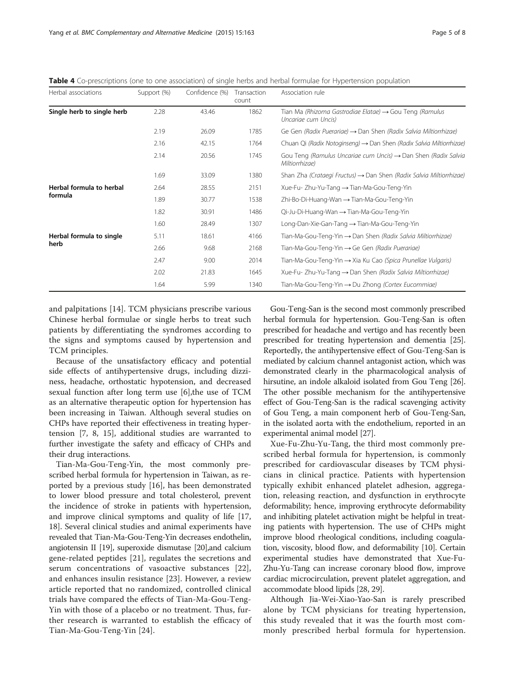| Herbal associations        | Support (%) | Confidence (%) | Transaction<br>count | Association rule                                                                             |
|----------------------------|-------------|----------------|----------------------|----------------------------------------------------------------------------------------------|
| Single herb to single herb | 2.28        | 43.46          | 1862                 | Tian Ma (Rhizoma Gastrodiae Elatae) → Gou Teng (Ramulus<br>Uncariae cum Uncis)               |
|                            | 2.19        | 26.09          | 1785                 | Ge Gen (Radix Puerariae) $\rightarrow$ Dan Shen (Radix Salvia Miltiorrhizae)                 |
|                            | 2.16        | 42.15          | 1764                 | Chuan Qi (Radix Notoginseng) $\rightarrow$ Dan Shen (Radix Salvia Miltiorrhizae)             |
|                            | 2.14        | 20.56          | 1745                 | Gou Teng (Ramulus Uncariae cum Uncis) $\rightarrow$ Dan Shen (Radix Salvia<br>Miltiorrhizae) |
|                            | 1.69        | 33.09          | 1380                 | Shan Zha (Crataegi Fructus) $\rightarrow$ Dan Shen (Radix Salvia Miltiorrhizae)              |
| Herbal formula to herbal   | 2.64        | 28.55          | 2151                 | Xue-Fu- Zhu-Yu-Tang → Tian-Ma-Gou-Teng-Yin                                                   |
| formula                    | 1.89        | 30.77          | 1538                 | Zhi-Bo-Di-Huang-Wan → Tian-Ma-Gou-Teng-Yin                                                   |
|                            | 1.82        | 30.91          | 1486                 | Qi-Ju-Di-Huang-Wan → Tian-Ma-Gou-Teng-Yin                                                    |
|                            | 1.60        | 28.49          | 1307                 | Long-Dan-Xie-Gan-Tang → Tian-Ma-Gou-Teng-Yin                                                 |
| Herbal formula to single   | 5.11        | 18.61          | 4166                 | Tian-Ma-Gou-Teng-Yin → Dan Shen (Radix Salvia Miltiorrhizae)                                 |
| herb                       | 2.66        | 9.68           | 2168                 | Tian-Ma-Gou-Teng-Yin → Ge Gen (Radix Puerariae)                                              |
|                            | 2.47        | 9.00           | 2014                 | Tian-Ma-Gou-Teng-Yin → Xia Ku Cao (Spica Prunellae Vulgaris)                                 |
|                            | 2.02        | 21.83          | 1645                 | Xue-Fu- Zhu-Yu-Tang → Dan Shen (Radix Salvia Miltiorrhizae)                                  |
|                            | 1.64        | 5.99           | 1340                 | Tian-Ma-Gou-Teng-Yin → Du Zhong (Cortex Eucommiae)                                           |

<span id="page-4-0"></span>Table 4 Co-prescriptions (one to one association) of single herbs and herbal formulae for Hypertension population

and palpitations [[14\]](#page-7-0). TCM physicians prescribe various Chinese herbal formulae or single herbs to treat such patients by differentiating the syndromes according to the signs and symptoms caused by hypertension and TCM principles.

Because of the unsatisfactory efficacy and potential side effects of antihypertensive drugs, including dizziness, headache, orthostatic hypotension, and decreased sexual function after long term use [\[6](#page-6-0)],the use of TCM as an alternative therapeutic option for hypertension has been increasing in Taiwan. Although several studies on CHPs have reported their effectiveness in treating hypertension [[7,](#page-6-0) [8, 15\]](#page-7-0), additional studies are warranted to further investigate the safety and efficacy of CHPs and their drug interactions.

Tian-Ma-Gou-Teng-Yin, the most commonly prescribed herbal formula for hypertension in Taiwan, as reported by a previous study [\[16](#page-7-0)], has been demonstrated to lower blood pressure and total cholesterol, prevent the incidence of stroke in patients with hypertension, and improve clinical symptoms and quality of life [[17](#page-7-0), [18\]](#page-7-0). Several clinical studies and animal experiments have revealed that Tian-Ma-Gou-Teng-Yin decreases endothelin, angiotensin II [[19](#page-7-0)], superoxide dismutase [[20\]](#page-7-0),and calcium gene-related peptides [\[21](#page-7-0)], regulates the secretions and serum concentrations of vasoactive substances [[22](#page-7-0)], and enhances insulin resistance [\[23](#page-7-0)]. However, a review article reported that no randomized, controlled clinical trials have compared the effects of Tian-Ma-Gou-Teng-Yin with those of a placebo or no treatment. Thus, further research is warranted to establish the efficacy of Tian-Ma-Gou-Teng-Yin [[24\]](#page-7-0).

Gou-Teng-San is the second most commonly prescribed herbal formula for hypertension. Gou-Teng-San is often prescribed for headache and vertigo and has recently been prescribed for treating hypertension and dementia [[25](#page-7-0)]. Reportedly, the antihypertensive effect of Gou-Teng-San is mediated by calcium channel antagonist action, which was demonstrated clearly in the pharmacological analysis of hirsutine, an indole alkaloid isolated from Gou Teng [[26](#page-7-0)]. The other possible mechanism for the antihypertensive effect of Gou-Teng-San is the radical scavenging activity of Gou Teng, a main component herb of Gou-Teng-San, in the isolated aorta with the endothelium, reported in an experimental animal model [[27](#page-7-0)].

Xue-Fu-Zhu-Yu-Tang, the third most commonly prescribed herbal formula for hypertension, is commonly prescribed for cardiovascular diseases by TCM physicians in clinical practice. Patients with hypertension typically exhibit enhanced platelet adhesion, aggregation, releasing reaction, and dysfunction in erythrocyte deformability; hence, improving erythrocyte deformability and inhibiting platelet activation might be helpful in treating patients with hypertension. The use of CHPs might improve blood rheological conditions, including coagulation, viscosity, blood flow, and deformability [[10](#page-7-0)]. Certain experimental studies have demonstrated that Xue-Fu-Zhu-Yu-Tang can increase coronary blood flow, improve cardiac microcirculation, prevent platelet aggregation, and accommodate blood lipids [[28](#page-7-0), [29](#page-7-0)].

Although Jia-Wei-Xiao-Yao-San is rarely prescribed alone by TCM physicians for treating hypertension, this study revealed that it was the fourth most commonly prescribed herbal formula for hypertension.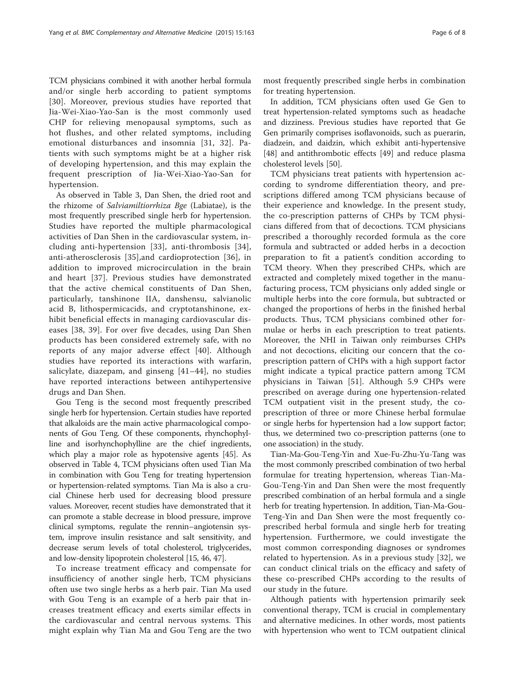TCM physicians combined it with another herbal formula and/or single herb according to patient symptoms [[30](#page-7-0)]. Moreover, previous studies have reported that Jia-Wei-Xiao-Yao-San is the most commonly used CHP for relieving menopausal symptoms, such as hot flushes, and other related symptoms, including emotional disturbances and insomnia [[31, 32\]](#page-7-0). Patients with such symptoms might be at a higher risk of developing hypertension, and this may explain the frequent prescription of Jia-Wei-Xiao-Yao-San for hypertension.

As observed in Table [3](#page-3-0), Dan Shen, the dried root and the rhizome of Salviamiltiorrhiza Bge (Labiatae), is the most frequently prescribed single herb for hypertension. Studies have reported the multiple pharmacological activities of Dan Shen in the cardiovascular system, including anti-hypertension [\[33](#page-7-0)], anti-thrombosis [[34](#page-7-0)], anti-atherosclerosis [[35\]](#page-7-0),and cardioprotection [[36](#page-7-0)], in addition to improved microcirculation in the brain and heart [[37\]](#page-7-0). Previous studies have demonstrated that the active chemical constituents of Dan Shen, particularly, tanshinone IIA, danshensu, salvianolic acid B, lithospermicacids, and cryptotanshinone, exhibit beneficial effects in managing cardiovascular diseases [[38, 39](#page-7-0)]. For over five decades, using Dan Shen products has been considered extremely safe, with no reports of any major adverse effect [[40](#page-7-0)]. Although studies have reported its interactions with warfarin, salicylate, diazepam, and ginseng [[41](#page-7-0)–[44\]](#page-7-0), no studies have reported interactions between antihypertensive drugs and Dan Shen.

Gou Teng is the second most frequently prescribed single herb for hypertension. Certain studies have reported that alkaloids are the main active pharmacological components of Gou Teng. Of these components, rhynchophylline and isorhynchophylline are the chief ingredients, which play a major role as hypotensive agents [\[45](#page-7-0)]. As observed in Table [4](#page-4-0), TCM physicians often used Tian Ma in combination with Gou Teng for treating hypertension or hypertension-related symptoms. Tian Ma is also a crucial Chinese herb used for decreasing blood pressure values. Moreover, recent studies have demonstrated that it can promote a stable decrease in blood pressure, improve clinical symptoms, regulate the rennin–angiotensin system, improve insulin resistance and salt sensitivity, and decrease serum levels of total cholesterol, triglycerides, and low-density lipoprotein cholesterol [\[15, 46](#page-7-0), [47\]](#page-7-0).

To increase treatment efficacy and compensate for insufficiency of another single herb, TCM physicians often use two single herbs as a herb pair. Tian Ma used with Gou Teng is an example of a herb pair that increases treatment efficacy and exerts similar effects in the cardiovascular and central nervous systems. This might explain why Tian Ma and Gou Teng are the two

most frequently prescribed single herbs in combination for treating hypertension.

In addition, TCM physicians often used Ge Gen to treat hypertension-related symptoms such as headache and dizziness. Previous studies have reported that Ge Gen primarily comprises isoflavonoids, such as puerarin, diadzein, and daidzin, which exhibit anti-hypertensive [[48\]](#page-7-0) and antithrombotic effects [\[49](#page-7-0)] and reduce plasma cholesterol levels [[50](#page-7-0)].

TCM physicians treat patients with hypertension according to syndrome differentiation theory, and prescriptions differed among TCM physicians because of their experience and knowledge. In the present study, the co-prescription patterns of CHPs by TCM physicians differed from that of decoctions. TCM physicians prescribed a thoroughly recorded formula as the core formula and subtracted or added herbs in a decoction preparation to fit a patient's condition according to TCM theory. When they prescribed CHPs, which are extracted and completely mixed together in the manufacturing process, TCM physicians only added single or multiple herbs into the core formula, but subtracted or changed the proportions of herbs in the finished herbal products. Thus, TCM physicians combined other formulae or herbs in each prescription to treat patients. Moreover, the NHI in Taiwan only reimburses CHPs and not decoctions, eliciting our concern that the coprescription pattern of CHPs with a high support factor might indicate a typical practice pattern among TCM physicians in Taiwan [[51\]](#page-7-0). Although 5.9 CHPs were prescribed on average during one hypertension-related TCM outpatient visit in the present study, the coprescription of three or more Chinese herbal formulae or single herbs for hypertension had a low support factor; thus, we determined two co-prescription patterns (one to one association) in the study.

Tian-Ma-Gou-Teng-Yin and Xue-Fu-Zhu-Yu-Tang was the most commonly prescribed combination of two herbal formulae for treating hypertension, whereas Tian-Ma-Gou-Teng-Yin and Dan Shen were the most frequently prescribed combination of an herbal formula and a single herb for treating hypertension. In addition, Tian-Ma-Gou-Teng-Yin and Dan Shen were the most frequently coprescribed herbal formula and single herb for treating hypertension. Furthermore, we could investigate the most common corresponding diagnoses or syndromes related to hypertension. As in a previous study [\[32\]](#page-7-0), we can conduct clinical trials on the efficacy and safety of these co-prescribed CHPs according to the results of our study in the future.

Although patients with hypertension primarily seek conventional therapy, TCM is crucial in complementary and alternative medicines. In other words, most patients with hypertension who went to TCM outpatient clinical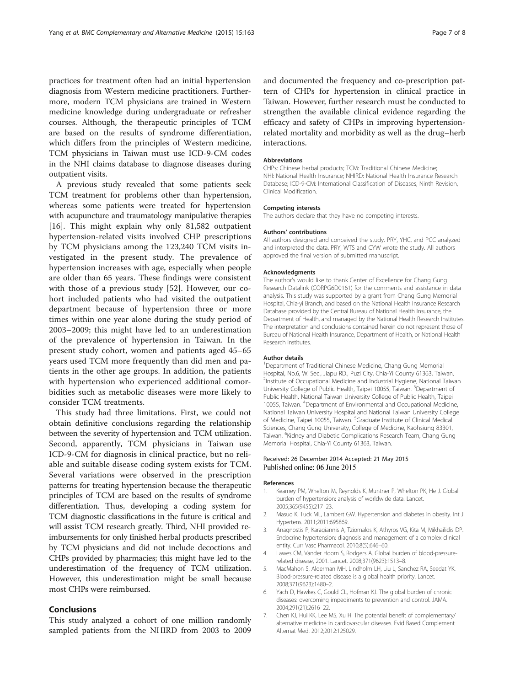<span id="page-6-0"></span>practices for treatment often had an initial hypertension diagnosis from Western medicine practitioners. Furthermore, modern TCM physicians are trained in Western medicine knowledge during undergraduate or refresher courses. Although, the therapeutic principles of TCM are based on the results of syndrome differentiation, which differs from the principles of Western medicine, TCM physicians in Taiwan must use ICD-9-CM codes in the NHI claims database to diagnose diseases during outpatient visits.

A previous study revealed that some patients seek TCM treatment for problems other than hypertension, whereas some patients were treated for hypertension with acupuncture and traumatology manipulative therapies [[16\]](#page-7-0). This might explain why only 81,582 outpatient hypertension-related visits involved CHP prescriptions by TCM physicians among the 123,240 TCM visits investigated in the present study. The prevalence of hypertension increases with age, especially when people are older than 65 years. These findings were consistent with those of a previous study [[52](#page-7-0)]. However, our cohort included patients who had visited the outpatient department because of hypertension three or more times within one year alone during the study period of 2003–2009; this might have led to an underestimation of the prevalence of hypertension in Taiwan. In the present study cohort, women and patients aged 45–65 years used TCM more frequently than did men and patients in the other age groups. In addition, the patients with hypertension who experienced additional comorbidities such as metabolic diseases were more likely to consider TCM treatments.

This study had three limitations. First, we could not obtain definitive conclusions regarding the relationship between the severity of hypertension and TCM utilization. Second, apparently, TCM physicians in Taiwan use ICD-9-CM for diagnosis in clinical practice, but no reliable and suitable disease coding system exists for TCM. Several variations were observed in the prescription patterns for treating hypertension because the therapeutic principles of TCM are based on the results of syndrome differentiation. Thus, developing a coding system for TCM diagnostic classifications in the future is critical and will assist TCM research greatly. Third, NHI provided reimbursements for only finished herbal products prescribed by TCM physicians and did not include decoctions and CHPs provided by pharmacies; this might have led to the underestimation of the frequency of TCM utilization. However, this underestimation might be small because most CHPs were reimbursed.

### Conclusions

This study analyzed a cohort of one million randomly sampled patients from the NHIRD from 2003 to 2009

and documented the frequency and co-prescription pattern of CHPs for hypertension in clinical practice in Taiwan. However, further research must be conducted to strengthen the available clinical evidence regarding the efficacy and safety of CHPs in improving hypertensionrelated mortality and morbidity as well as the drug–herb interactions.

#### Abbreviations

CHPs: Chinese herbal products; TCM: Traditional Chinese Medicine; NHI: National Health Insurance; NHIRD: National Health Insurance Research Database; ICD-9-CM: International Classification of Diseases, Ninth Revision, Clinical Modification.

#### Competing interests

The authors declare that they have no competing interests.

#### Authors' contributions

All authors designed and conceived the study. PRY, YHC, and PCC analyzed and interpreted the data. PRY, WTS and CYW wrote the study. All authors approved the final version of submitted manuscript.

#### Acknowledgments

The author's would like to thank Center of Excellence for Chang Gung Research Datalink (CORPG6D0161) for the comments and assistance in data analysis. This study was supported by a grant from Chang Gung Memorial Hospital, Chia-yi Branch, and based on the National Health Insurance Research Database provided by the Central Bureau of National Health Insurance, the Department of Health, and managed by the National Health Research Institutes. The interpretation and conclusions contained herein do not represent those of Bureau of National Health Insurance, Department of Health, or National Health Research Institutes.

#### Author details

<sup>1</sup>Department of Traditional Chinese Medicine, Chang Gung Memorial Hospital, No.6, W. Sec., Jiapu RD., Puzi City, Chia-Yi County 61363, Taiwan. <sup>2</sup>Institute of Occupational Medicine and Industrial Hygiene, National Taiwan University College of Public Health, Taipei 10055, Taiwan. <sup>3</sup>Department of Public Health, National Taiwan University College of Public Health, Taipei 10055, Taiwan. <sup>4</sup> Department of Environmental and Occupational Medicine, National Taiwan University Hospital and National Taiwan University College of Medicine, Taipei 10055, Taiwan. <sup>5</sup>Graduate Institute of Clinical Medical Sciences, Chang Gung University, College of Medicine, Kaohsiung 83301, Taiwan. <sup>6</sup> Kidney and Diabetic Complications Research Team, Chang Gung Memorial Hospital, Chia-Yi County 61363, Taiwan.

#### Received: 26 December 2014 Accepted: 21 May 2015 Published online: 06 June 2015

#### References

- 1. Kearney PM, Whelton M, Reynolds K, Muntner P, Whelton PK, He J. Global burden of hypertension: analysis of worldwide data. Lancet. 2005;365(9455):217–23.
- 2. Masuo K, Tuck ML, Lambert GW. Hypertension and diabetes in obesity. Int J Hypertens. 2011;2011:695869.
- 3. Anagnostis P, Karagiannis A, Tziomalos K, Athyros VG, Kita M, Mikhailidis DP. Endocrine hypertension: diagnosis and management of a complex clinical entity. Curr Vasc Pharmacol. 2010;8(5):646–60.
- 4. Lawes CM, Vander Hoorn S, Rodgers A. Global burden of blood-pressurerelated disease, 2001. Lancet. 2008;371(9623):1513–8.
- 5. MacMahon S, Alderman MH, Lindholm LH, Liu L, Sanchez RA, Seedat YK. Blood-pressure-related disease is a global health priority. Lancet. 2008;371(9623):1480–2.
- 6. Yach D, Hawkes C, Gould CL, Hofman KJ. The global burden of chronic diseases: overcoming impediments to prevention and control. JAMA. 2004;291(21):2616–22.
- 7. Chen KJ, Hui KK, Lee MS, Xu H. The potential benefit of complementary/ alternative medicine in cardiovascular diseases. Evid Based Complement Alternat Med. 2012;2012:125029.